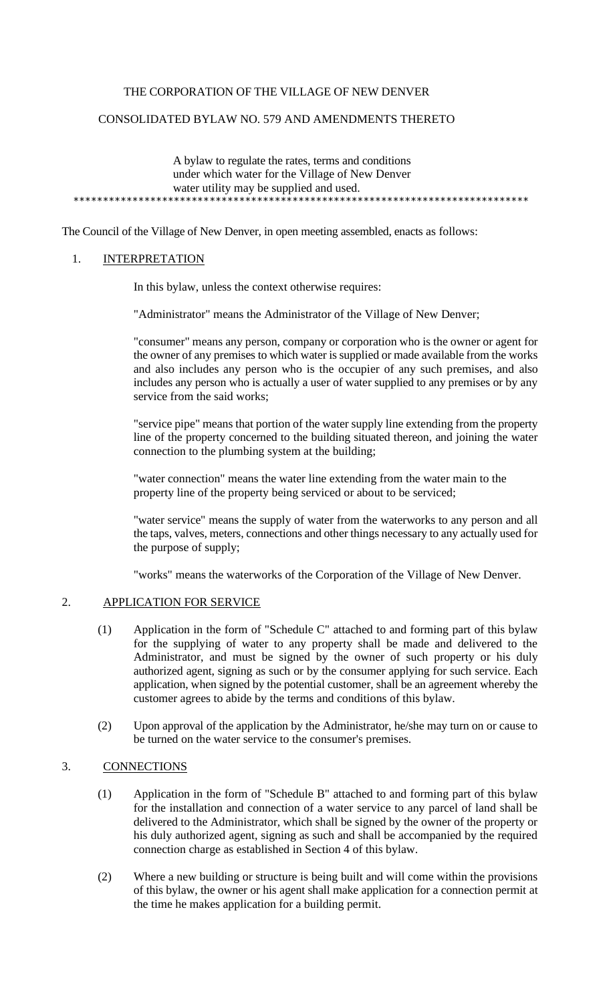# THE CORPORATION OF THE VILLAGE OF NEW DENVER

### CONSOLIDATED BYLAW NO. 579 AND AMENDMENTS THERETO

A bylaw to regulate the rates, terms and conditions under which water for the Village of New Denver water utility may be supplied and used. \*\*\*\*\*\*\*\*\*\*\*\*\*\*\*\*\*\*\*\*\*\*\*\*\*\*\*\*\*\*\*\*\*\*\*\*\*\*\*\*\*\*\*\*\*\*\*\*\*\*\*\*\*\*\*\*\*\*\*\*\*\*\*\*\*\*\*\*\*\*\*\*\*\*\*\*\*

The Council of the Village of New Denver, in open meeting assembled, enacts as follows:

### 1. INTERPRETATION

In this bylaw, unless the context otherwise requires:

"Administrator" means the Administrator of the Village of New Denver;

"consumer" means any person, company or corporation who is the owner or agent for the owner of any premises to which water is supplied or made available from the works and also includes any person who is the occupier of any such premises, and also includes any person who is actually a user of water supplied to any premises or by any service from the said works;

"service pipe" means that portion of the water supply line extending from the property line of the property concerned to the building situated thereon, and joining the water connection to the plumbing system at the building;

"water connection" means the water line extending from the water main to the property line of the property being serviced or about to be serviced;

"water service" means the supply of water from the waterworks to any person and all the taps, valves, meters, connections and other things necessary to any actually used for the purpose of supply;

"works" means the waterworks of the Corporation of the Village of New Denver.

## 2. APPLICATION FOR SERVICE

- (1) Application in the form of "Schedule C" attached to and forming part of this bylaw for the supplying of water to any property shall be made and delivered to the Administrator, and must be signed by the owner of such property or his duly authorized agent, signing as such or by the consumer applying for such service. Each application, when signed by the potential customer, shall be an agreement whereby the customer agrees to abide by the terms and conditions of this bylaw.
- (2) Upon approval of the application by the Administrator, he/she may turn on or cause to be turned on the water service to the consumer's premises.

#### 3. CONNECTIONS

- (1) Application in the form of "Schedule B" attached to and forming part of this bylaw for the installation and connection of a water service to any parcel of land shall be delivered to the Administrator, which shall be signed by the owner of the property or his duly authorized agent, signing as such and shall be accompanied by the required connection charge as established in Section 4 of this bylaw.
- (2) Where a new building or structure is being built and will come within the provisions of this bylaw, the owner or his agent shall make application for a connection permit at the time he makes application for a building permit.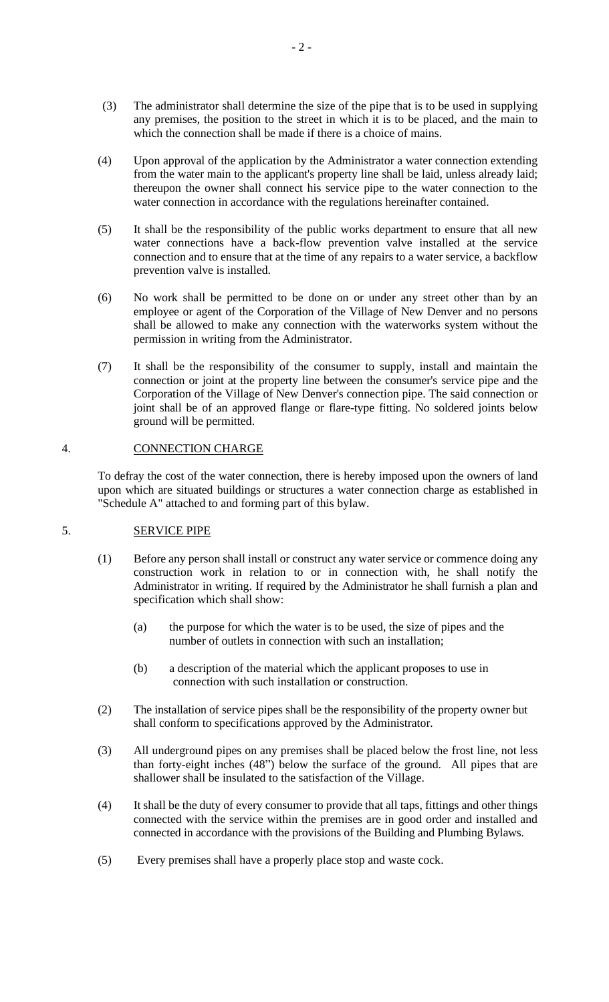- (3) The administrator shall determine the size of the pipe that is to be used in supplying any premises, the position to the street in which it is to be placed, and the main to which the connection shall be made if there is a choice of mains.
- (4) Upon approval of the application by the Administrator a water connection extending from the water main to the applicant's property line shall be laid, unless already laid; thereupon the owner shall connect his service pipe to the water connection to the water connection in accordance with the regulations hereinafter contained.
- (5) It shall be the responsibility of the public works department to ensure that all new water connections have a back-flow prevention valve installed at the service connection and to ensure that at the time of any repairs to a water service, a backflow prevention valve is installed.
- (6) No work shall be permitted to be done on or under any street other than by an employee or agent of the Corporation of the Village of New Denver and no persons shall be allowed to make any connection with the waterworks system without the permission in writing from the Administrator.
- (7) It shall be the responsibility of the consumer to supply, install and maintain the connection or joint at the property line between the consumer's service pipe and the Corporation of the Village of New Denver's connection pipe. The said connection or joint shall be of an approved flange or flare-type fitting. No soldered joints below ground will be permitted.

# 4. CONNECTION CHARGE

To defray the cost of the water connection, there is hereby imposed upon the owners of land upon which are situated buildings or structures a water connection charge as established in "Schedule A" attached to and forming part of this bylaw.

### 5. SERVICE PIPE

- (1) Before any person shall install or construct any water service or commence doing any construction work in relation to or in connection with, he shall notify the Administrator in writing. If required by the Administrator he shall furnish a plan and specification which shall show:
	- (a) the purpose for which the water is to be used, the size of pipes and the number of outlets in connection with such an installation;
	- (b) a description of the material which the applicant proposes to use in connection with such installation or construction.
- (2) The installation of service pipes shall be the responsibility of the property owner but shall conform to specifications approved by the Administrator.
- (3) All underground pipes on any premises shall be placed below the frost line, not less than forty-eight inches (48") below the surface of the ground. All pipes that are shallower shall be insulated to the satisfaction of the Village.
- (4) It shall be the duty of every consumer to provide that all taps, fittings and other things connected with the service within the premises are in good order and installed and connected in accordance with the provisions of the Building and Plumbing Bylaws.
- (5) Every premises shall have a properly place stop and waste cock.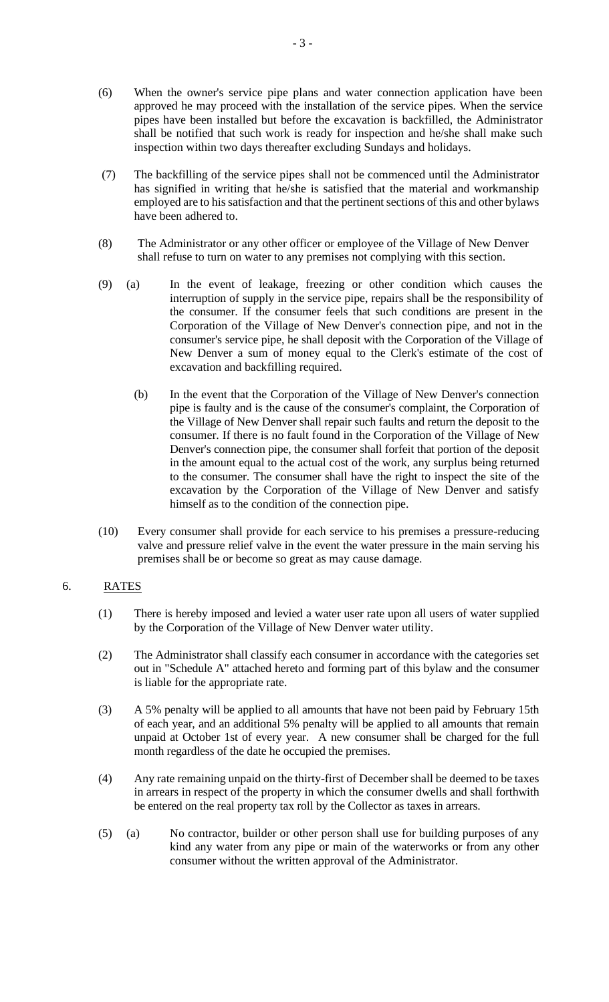- (6) When the owner's service pipe plans and water connection application have been approved he may proceed with the installation of the service pipes. When the service pipes have been installed but before the excavation is backfilled, the Administrator shall be notified that such work is ready for inspection and he/she shall make such inspection within two days thereafter excluding Sundays and holidays.
- (7) The backfilling of the service pipes shall not be commenced until the Administrator has signified in writing that he/she is satisfied that the material and workmanship employed are to his satisfaction and that the pertinent sections of this and other bylaws have been adhered to.
- (8) The Administrator or any other officer or employee of the Village of New Denver shall refuse to turn on water to any premises not complying with this section.
- (9) (a) In the event of leakage, freezing or other condition which causes the interruption of supply in the service pipe, repairs shall be the responsibility of the consumer. If the consumer feels that such conditions are present in the Corporation of the Village of New Denver's connection pipe, and not in the consumer's service pipe, he shall deposit with the Corporation of the Village of New Denver a sum of money equal to the Clerk's estimate of the cost of excavation and backfilling required.
	- (b) In the event that the Corporation of the Village of New Denver's connection pipe is faulty and is the cause of the consumer's complaint, the Corporation of the Village of New Denver shall repair such faults and return the deposit to the consumer. If there is no fault found in the Corporation of the Village of New Denver's connection pipe, the consumer shall forfeit that portion of the deposit in the amount equal to the actual cost of the work, any surplus being returned to the consumer. The consumer shall have the right to inspect the site of the excavation by the Corporation of the Village of New Denver and satisfy himself as to the condition of the connection pipe.
- (10) Every consumer shall provide for each service to his premises a pressure-reducing valve and pressure relief valve in the event the water pressure in the main serving his premises shall be or become so great as may cause damage.

# 6. RATES

- (1) There is hereby imposed and levied a water user rate upon all users of water supplied by the Corporation of the Village of New Denver water utility.
- (2) The Administrator shall classify each consumer in accordance with the categories set out in "Schedule A" attached hereto and forming part of this bylaw and the consumer is liable for the appropriate rate.
- (3) A 5% penalty will be applied to all amounts that have not been paid by February 15th of each year, and an additional 5% penalty will be applied to all amounts that remain unpaid at October 1st of every year. A new consumer shall be charged for the full month regardless of the date he occupied the premises.
- (4) Any rate remaining unpaid on the thirty-first of December shall be deemed to be taxes in arrears in respect of the property in which the consumer dwells and shall forthwith be entered on the real property tax roll by the Collector as taxes in arrears.
- (5) (a) No contractor, builder or other person shall use for building purposes of any kind any water from any pipe or main of the waterworks or from any other consumer without the written approval of the Administrator.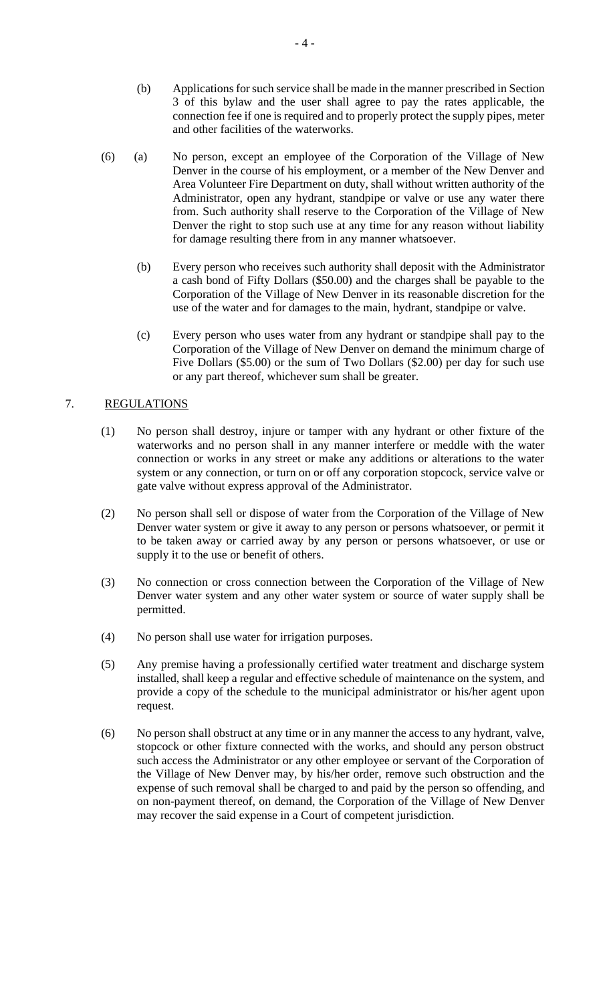- (b) Applications for such service shall be made in the manner prescribed in Section 3 of this bylaw and the user shall agree to pay the rates applicable, the connection fee if one is required and to properly protect the supply pipes, meter and other facilities of the waterworks.
- (6) (a) No person, except an employee of the Corporation of the Village of New Denver in the course of his employment, or a member of the New Denver and Area Volunteer Fire Department on duty, shall without written authority of the Administrator, open any hydrant, standpipe or valve or use any water there from. Such authority shall reserve to the Corporation of the Village of New Denver the right to stop such use at any time for any reason without liability for damage resulting there from in any manner whatsoever.
	- (b) Every person who receives such authority shall deposit with the Administrator a cash bond of Fifty Dollars (\$50.00) and the charges shall be payable to the Corporation of the Village of New Denver in its reasonable discretion for the use of the water and for damages to the main, hydrant, standpipe or valve.
	- (c) Every person who uses water from any hydrant or standpipe shall pay to the Corporation of the Village of New Denver on demand the minimum charge of Five Dollars (\$5.00) or the sum of Two Dollars (\$2.00) per day for such use or any part thereof, whichever sum shall be greater.

# 7. REGULATIONS

- (1) No person shall destroy, injure or tamper with any hydrant or other fixture of the waterworks and no person shall in any manner interfere or meddle with the water connection or works in any street or make any additions or alterations to the water system or any connection, or turn on or off any corporation stopcock, service valve or gate valve without express approval of the Administrator.
- (2) No person shall sell or dispose of water from the Corporation of the Village of New Denver water system or give it away to any person or persons whatsoever, or permit it to be taken away or carried away by any person or persons whatsoever, or use or supply it to the use or benefit of others.
- (3) No connection or cross connection between the Corporation of the Village of New Denver water system and any other water system or source of water supply shall be permitted.
- (4) No person shall use water for irrigation purposes.
- (5) Any premise having a professionally certified water treatment and discharge system installed, shall keep a regular and effective schedule of maintenance on the system, and provide a copy of the schedule to the municipal administrator or his/her agent upon request.
- (6) No person shall obstruct at any time or in any manner the access to any hydrant, valve, stopcock or other fixture connected with the works, and should any person obstruct such access the Administrator or any other employee or servant of the Corporation of the Village of New Denver may, by his/her order, remove such obstruction and the expense of such removal shall be charged to and paid by the person so offending, and on non-payment thereof, on demand, the Corporation of the Village of New Denver may recover the said expense in a Court of competent jurisdiction.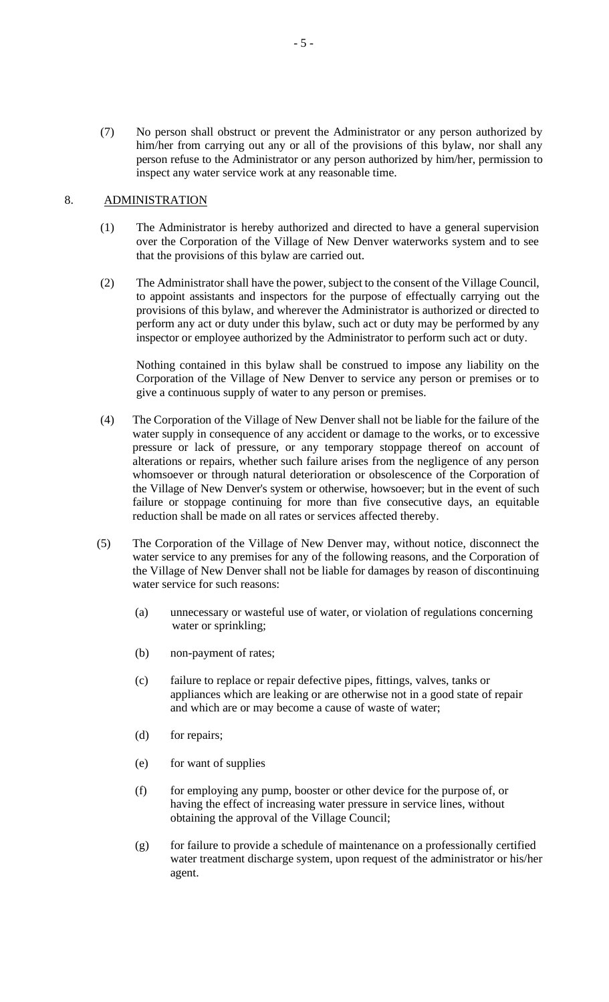(7) No person shall obstruct or prevent the Administrator or any person authorized by him/her from carrying out any or all of the provisions of this bylaw, nor shall any person refuse to the Administrator or any person authorized by him/her, permission to inspect any water service work at any reasonable time.

## 8. ADMINISTRATION

- (1) The Administrator is hereby authorized and directed to have a general supervision over the Corporation of the Village of New Denver waterworks system and to see that the provisions of this bylaw are carried out.
- (2) The Administrator shall have the power, subject to the consent of the Village Council, to appoint assistants and inspectors for the purpose of effectually carrying out the provisions of this bylaw, and wherever the Administrator is authorized or directed to perform any act or duty under this bylaw, such act or duty may be performed by any inspector or employee authorized by the Administrator to perform such act or duty.

Nothing contained in this bylaw shall be construed to impose any liability on the Corporation of the Village of New Denver to service any person or premises or to give a continuous supply of water to any person or premises.

- (4) The Corporation of the Village of New Denver shall not be liable for the failure of the water supply in consequence of any accident or damage to the works, or to excessive pressure or lack of pressure, or any temporary stoppage thereof on account of alterations or repairs, whether such failure arises from the negligence of any person whomsoever or through natural deterioration or obsolescence of the Corporation of the Village of New Denver's system or otherwise, howsoever; but in the event of such failure or stoppage continuing for more than five consecutive days, an equitable reduction shall be made on all rates or services affected thereby.
- (5) The Corporation of the Village of New Denver may, without notice, disconnect the water service to any premises for any of the following reasons, and the Corporation of the Village of New Denver shall not be liable for damages by reason of discontinuing water service for such reasons:
	- (a) unnecessary or wasteful use of water, or violation of regulations concerning water or sprinkling;
	- (b) non-payment of rates;
	- (c) failure to replace or repair defective pipes, fittings, valves, tanks or appliances which are leaking or are otherwise not in a good state of repair and which are or may become a cause of waste of water;
	- (d) for repairs;
	- (e) for want of supplies
	- (f) for employing any pump, booster or other device for the purpose of, or having the effect of increasing water pressure in service lines, without obtaining the approval of the Village Council;
	- (g) for failure to provide a schedule of maintenance on a professionally certified water treatment discharge system, upon request of the administrator or his/her agent.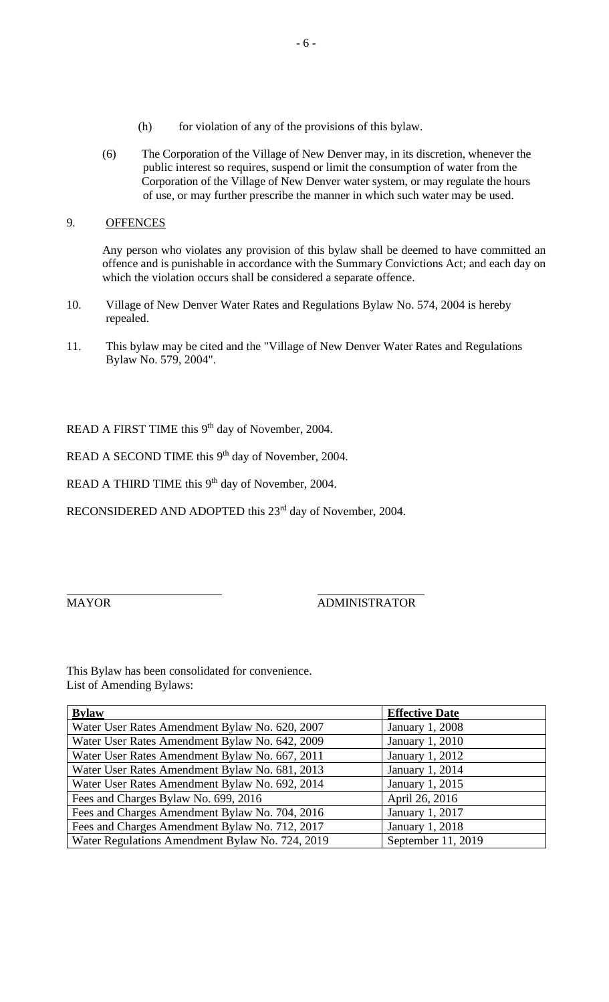- (h) for violation of any of the provisions of this bylaw.
- (6) The Corporation of the Village of New Denver may, in its discretion, whenever the public interest so requires, suspend or limit the consumption of water from the Corporation of the Village of New Denver water system, or may regulate the hours of use, or may further prescribe the manner in which such water may be used.

## 9. OFFENCES

Any person who violates any provision of this bylaw shall be deemed to have committed an offence and is punishable in accordance with the Summary Convictions Act; and each day on which the violation occurs shall be considered a separate offence.

- 10. Village of New Denver Water Rates and Regulations Bylaw No. 574, 2004 is hereby repealed.
- 11. This bylaw may be cited and the "Village of New Denver Water Rates and Regulations Bylaw No. 579, 2004".

READ A FIRST TIME this 9<sup>th</sup> day of November, 2004.

READ A SECOND TIME this 9<sup>th</sup> day of November, 2004.

READ A THIRD TIME this 9<sup>th</sup> day of November, 2004.

RECONSIDERED AND ADOPTED this 23<sup>rd</sup> day of November, 2004.

# MAYOR ADMINISTRATOR

This Bylaw has been consolidated for convenience. List of Amending Bylaws:

| <b>Bylaw</b>                                    | <b>Effective Date</b>  |
|-------------------------------------------------|------------------------|
| Water User Rates Amendment Bylaw No. 620, 2007  | <b>January 1, 2008</b> |
| Water User Rates Amendment Bylaw No. 642, 2009  | January 1, 2010        |
| Water User Rates Amendment Bylaw No. 667, 2011  | January 1, 2012        |
| Water User Rates Amendment Bylaw No. 681, 2013  | January 1, 2014        |
| Water User Rates Amendment Bylaw No. 692, 2014  | January 1, 2015        |
| Fees and Charges Bylaw No. 699, 2016            | April 26, 2016         |
| Fees and Charges Amendment Bylaw No. 704, 2016  | January 1, 2017        |
| Fees and Charges Amendment Bylaw No. 712, 2017  | January 1, 2018        |
| Water Regulations Amendment Bylaw No. 724, 2019 | September 11, 2019     |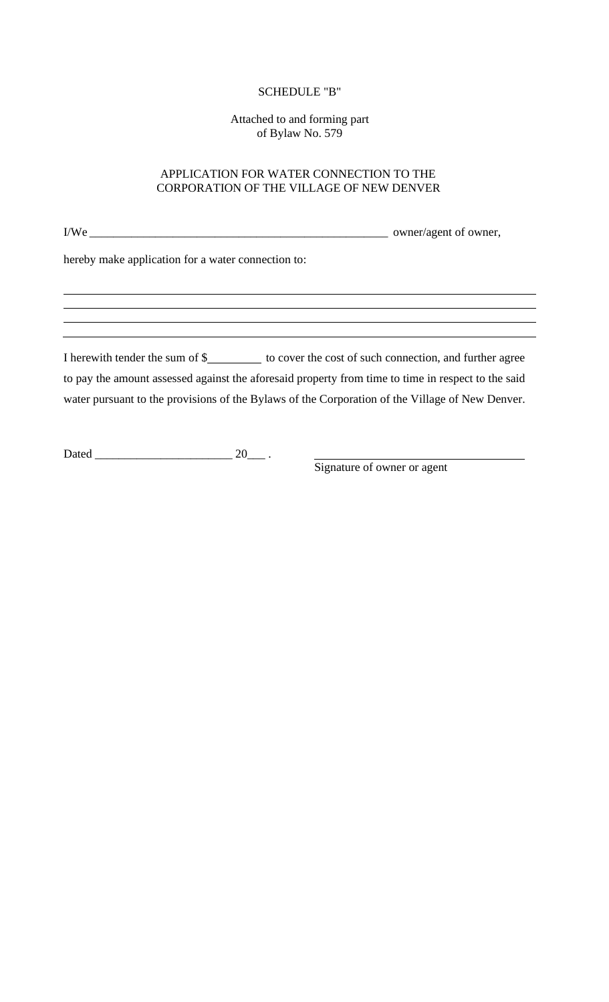### SCHEDULE "B"

Attached to and forming part of Bylaw No. 579

### APPLICATION FOR WATER CONNECTION TO THE CORPORATION OF THE VILLAGE OF NEW DENVER

I/We \_\_\_\_\_\_\_\_\_\_\_\_\_\_\_\_\_\_\_\_\_\_\_\_\_\_\_\_\_\_\_\_\_\_\_\_\_\_\_\_\_\_\_\_\_\_\_\_\_\_ owner/agent of owner, hereby make application for a water connection to: I herewith tender the sum of \$\_\_\_\_\_\_\_\_\_\_\_ to cover the cost of such connection, and further agree to pay the amount assessed against the aforesaid property from time to time in respect to the said water pursuant to the provisions of the Bylaws of the Corporation of the Village of New Denver.

Dated \_\_\_\_\_\_\_\_\_\_\_\_\_\_\_\_\_\_\_\_\_\_\_ 20\_\_\_ .

Signature of owner or agent